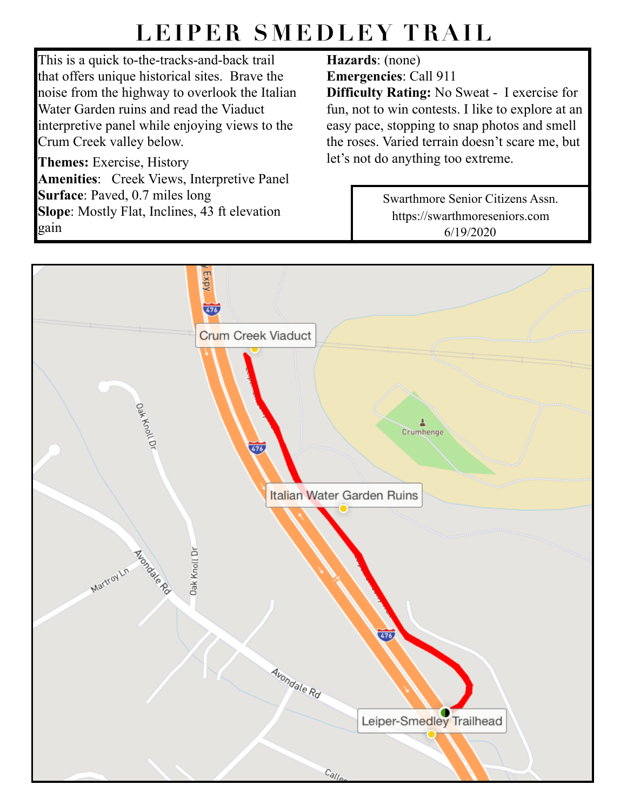## **LEIPER SMEDLEY TRAIL**

This is a quick to-the-tracks-and-back trail that offers unique historical sites. Brave the noise from the highway to overlook the Italian Water Garden ruins and read the Viaduct interpretive panel while enjoying views to the Crum Creek valley below.

**Themes:** Exercise, History **Amenities**: Creek Views, Interpretive Panel **Surface**: Paved, 0.7 miles long **Slope**: Mostly Flat, Inclines, 43 ft elevation gain

## **Hazards**: (none)

**Emergencies**: Call 911

**Difficulty Rating:** No Sweat - I exercise for fun, not to win contests. I like to explore at an easy pace, stopping to snap photos and smell the roses. Varied terrain doesn't scare me, but let's not do anything too extreme.

> Swarthmore Senior Citizens Assn. https://swarthmoreseniors.com 6/19/2020